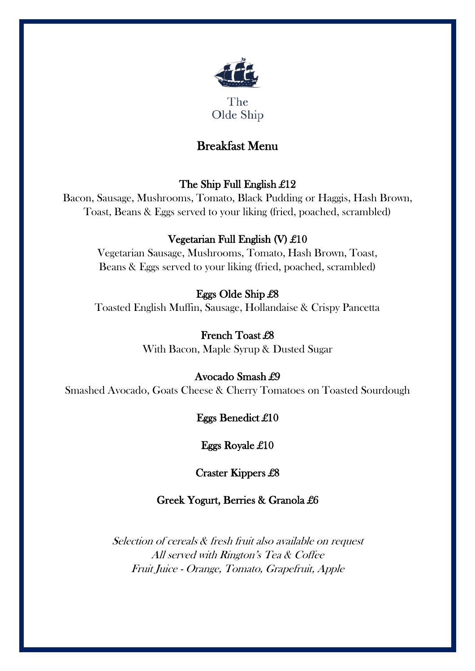

The Olde Ship

# Breakfast Menu

### The Ship Full English £12

Bacon, Sausage, Mushrooms, Tomato, Black Pudding or Haggis, Hash Brown, Toast, Beans & Eggs served to your liking (fried, poached, scrambled)

## Vegetarian Full English (V) £10

Vegetarian Sausage, Mushrooms, Tomato, Hash Brown, Toast, Beans & Eggs served to your liking (fried, poached, scrambled)

## Eggs Olde Ship £8

Toasted English Muffin, Sausage, Hollandaise & Crispy Pancetta

### French Toast £8

With Bacon, Maple Syrup & Dusted Sugar

## Avocado Smash £9

Smashed Avocado, Goats Cheese & Cherry Tomatoes on Toasted Sourdough

## Eggs Benedict £10

### Eggs Royale £10

Craster Kippers £8

### Greek Yogurt, Berries & Granola £6

Selection of cereals & fresh fruit also available on request All served with Rington's Tea & Coffee Fruit Juice - Orange, Tomato, Grapefruit, Apple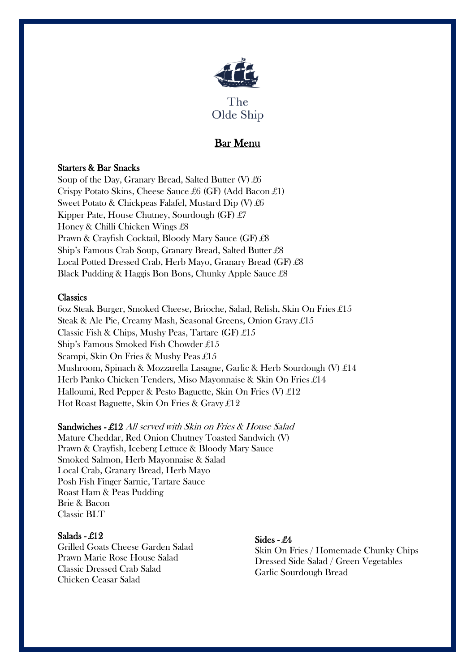

### Bar Menu

#### Starters & Bar Snacks

Soup of the Day, Granary Bread, Salted Butter (V)  $\pounds 6$ Crispy Potato Skins, Cheese Sauce £6 (GF) (Add Bacon £1) Sweet Potato & Chickpeas Falafel, Mustard Dip (V) £6 Kipper Pate, House Chutney, Sourdough (GF) £7 Honey & Chilli Chicken Wings £8 Prawn & Crayfish Cocktail, Bloody Mary Sauce (GF) £8 Ship's Famous Crab Soup, Granary Bread, Salted Butter £8 Local Potted Dressed Crab, Herb Mayo, Granary Bread (GF) £8 Black Pudding & Haggis Bon Bons, Chunky Apple Sauce £8

#### **Classics**

6oz Steak Burger, Smoked Cheese, Brioche, Salad, Relish, Skin On Fries £15 Steak & Ale Pie, Creamy Mash, Seasonal Greens, Onion Gravy £15 Classic Fish & Chips, Mushy Peas, Tartare  $(GF) \text{ } \pounds 15$ Ship's Famous Smoked Fish Chowder £15 Scampi, Skin On Fries & Mushy Peas £15 Mushroom, Spinach & Mozzarella Lasagne, Garlic & Herb Sourdough (V) £14 Herb Panko Chicken Tenders, Miso Mayonnaise & Skin On Fries £14 Halloumi, Red Pepper & Pesto Baguette, Skin On Fries (V) £12 Hot Roast Baguette, Skin On Fries & Gravy £12

#### Sandwiches - £12 All served with Skin on Fries & House Salad

Mature Cheddar, Red Onion Chutney Toasted Sandwich (V) Prawn & Crayfish, Iceberg Lettuce & Bloody Mary Sauce Smoked Salmon, Herb Mayonnaise & Salad Local Crab, Granary Bread, Herb Mayo Posh Fish Finger Sarnie, Tartare Sauce Roast Ham & Peas Pudding Brie & Bacon Classic BLT

#### Salads - £12

Grilled Goats Cheese Garden Salad Prawn Marie Rose House Salad Classic Dressed Crab Salad Chicken Ceasar Salad

#### Sides - £4

Skin On Fries / Homemade Chunky Chips Dressed Side Salad / Green Vegetables Garlic Sourdough Bread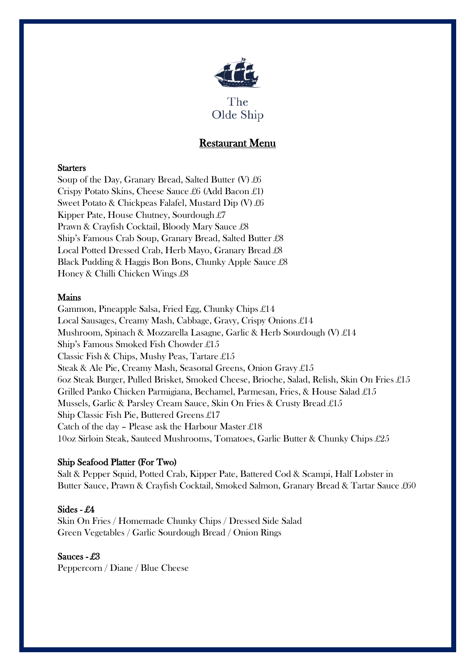

### Restaurant Menu

#### **Starters**

Soup of the Day, Granary Bread, Salted Butter (V)  $\pounds 6$ Crispy Potato Skins, Cheese Sauce £6 (Add Bacon £1) Sweet Potato & Chickpeas Falafel, Mustard Dip (V) £6 Kipper Pate, House Chutney, Sourdough £7 Prawn & Crayfish Cocktail, Bloody Mary Sauce £8 Ship's Famous Crab Soup, Granary Bread, Salted Butter £8 Local Potted Dressed Crab, Herb Mayo, Granary Bread £8 Black Pudding & Haggis Bon Bons, Chunky Apple Sauce £8 Honey & Chilli Chicken Wings £8

#### Mains

Gammon, Pineapple Salsa, Fried Egg, Chunky Chips £14 Local Sausages, Creamy Mash, Cabbage, Gravy, Crispy Onions £14 Mushroom, Spinach & Mozzarella Lasagne, Garlic & Herb Sourdough (V) £14 Ship's Famous Smoked Fish Chowder £15 Classic Fish & Chips, Mushy Peas, Tartare £15 Steak & Ale Pie, Creamy Mash, Seasonal Greens, Onion Gravy £15 6oz Steak Burger, Pulled Brisket, Smoked Cheese, Brioche, Salad, Relish, Skin On Fries £15 Grilled Panko Chicken Parmigiana, Bechamel, Parmesan, Fries, & House Salad £15 Mussels, Garlic & Parsley Cream Sauce, Skin On Fries & Crusty Bread £15 Ship Classic Fish Pie, Buttered Greens £17 Catch of the day – Please ask the Harbour Master £18 10oz Sirloin Steak, Sauteed Mushrooms, Tomatoes, Garlic Butter & Chunky Chips £25

#### Ship Seafood Platter (For Two)

Salt & Pepper Squid, Potted Crab, Kipper Pate, Battered Cod & Scampi, Half Lobster in Butter Sauce, Prawn & Crayfish Cocktail, Smoked Salmon, Granary Bread & Tartar Sauce £60

#### Sides - £4

Skin On Fries / Homemade Chunky Chips / Dressed Side Salad Green Vegetables / Garlic Sourdough Bread / Onion Rings

Sauces - £3 Peppercorn / Diane / Blue Cheese